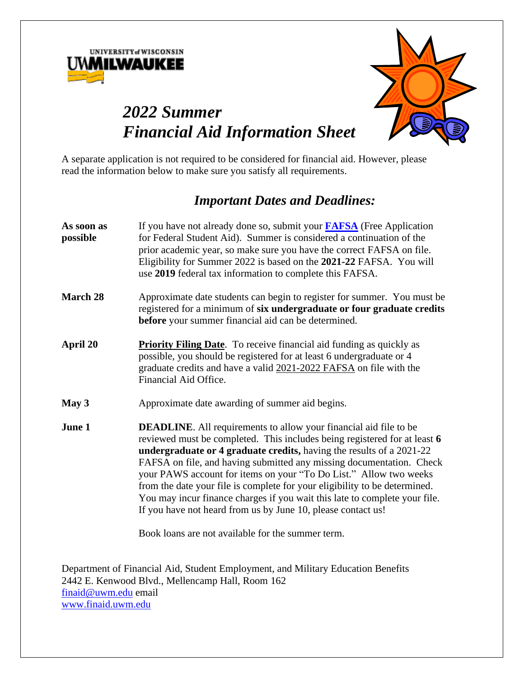



# *2022 Summer Financial Aid Information Sheet*

A separate application is not required to be considered for financial aid. However, please read the information below to make sure you satisfy all requirements.

## *Important Dates and Deadlines:*

| As soon as<br>possible | If you have not already done so, submit your <b>FAFSA</b> (Free Application<br>for Federal Student Aid). Summer is considered a continuation of the<br>prior academic year, so make sure you have the correct FAFSA on file.<br>Eligibility for Summer 2022 is based on the 2021-22 FAFSA. You will<br>use 2019 federal tax information to complete this FAFSA.                                                                                                                                                                                                                                                                                             |  |
|------------------------|-------------------------------------------------------------------------------------------------------------------------------------------------------------------------------------------------------------------------------------------------------------------------------------------------------------------------------------------------------------------------------------------------------------------------------------------------------------------------------------------------------------------------------------------------------------------------------------------------------------------------------------------------------------|--|
| March 28               | Approximate date students can begin to register for summer. You must be<br>registered for a minimum of six undergraduate or four graduate credits<br><b>before</b> your summer financial aid can be determined.                                                                                                                                                                                                                                                                                                                                                                                                                                             |  |
| April 20               | <b>Priority Filing Date</b> . To receive financial aid funding as quickly as<br>possible, you should be registered for at least 6 undergraduate or 4<br>graduate credits and have a valid 2021-2022 FAFSA on file with the<br>Financial Aid Office.                                                                                                                                                                                                                                                                                                                                                                                                         |  |
| May 3                  | Approximate date awarding of summer aid begins.                                                                                                                                                                                                                                                                                                                                                                                                                                                                                                                                                                                                             |  |
| June 1                 | <b>DEADLINE.</b> All requirements to allow your financial aid file to be<br>reviewed must be completed. This includes being registered for at least 6<br>undergraduate or 4 graduate credits, having the results of a 2021-22<br>FAFSA on file, and having submitted any missing documentation. Check<br>your PAWS account for items on your "To Do List." Allow two weeks<br>from the date your file is complete for your eligibility to be determined.<br>You may incur finance charges if you wait this late to complete your file.<br>If you have not heard from us by June 10, please contact us!<br>Book loans are not available for the summer term. |  |

Department of Financial Aid, Student Employment, and Military Education Benefits 2442 E. Kenwood Blvd., Mellencamp Hall, Room 162 [finaid@uwm.edu](mailto:finaid@uwm.edu) email [www.finaid.uwm.edu](http://www.finaid.uwm.edu/)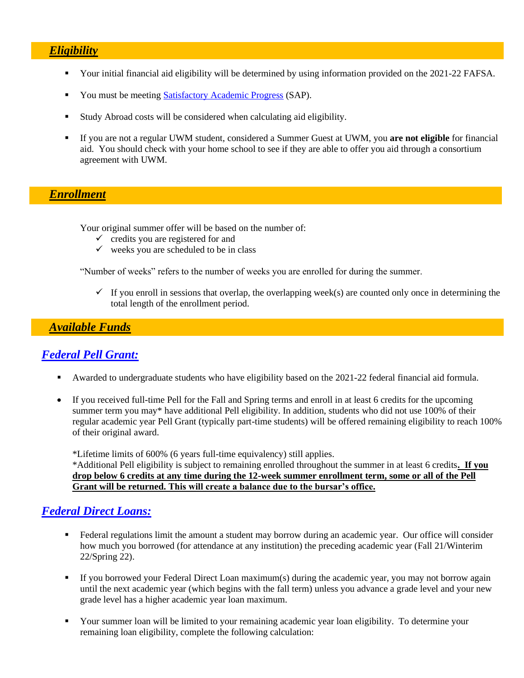#### *Eligibility*

- Your initial financial aid eligibility will be determined by using information provided on the 2021-22 FAFSA.
- You must be meetin[g Satisfactory Academic Progress](http://uwm.edu/onestop/finances/receiving-financial-aid/satisfactory-academic-progress-sap/) (SAP).
- Study Abroad costs will be considered when calculating aid eligibility.
- If you are not a regular UWM student, considered a Summer Guest at UWM, you **are not eligible** for financial aid. You should check with your home school to see if they are able to offer you aid through a consortium agreement with UWM.

## *Enrollment*

Your original summer offer will be based on the number of:

- $\checkmark$  credits you are registered for and
- $\checkmark$  weeks you are scheduled to be in class

"Number of weeks" refers to the number of weeks you are enrolled for during the summer.

 $\checkmark$  If you enroll in sessions that overlap, the overlapping week(s) are counted only once in determining the total length of the enrollment period.

### *Available Funds*

## *[Federal Pell Grant:](http://www.uwm.edu/financialaid/types-of-aid/grants/federal-grants/)*

- Awarded to undergraduate students who have eligibility based on the 2021-22 federal financial aid formula.
- If you received full-time Pell for the Fall and Spring terms and enroll in at least 6 credits for the upcoming summer term you may\* have additional Pell eligibility. In addition, students who did not use 100% of their regular academic year Pell Grant (typically part-time students) will be offered remaining eligibility to reach 100% of their original award.

\*Lifetime limits of 600% (6 years full-time equivalency) still applies.

\*Additional Pell eligibility is subject to remaining enrolled throughout the summer in at least 6 credits**. If you drop below 6 credits at any time during the 12-week summer enrollment term, some or all of the Pell Grant will be returned. This will create a balance due to the bursar's office.**

#### *Federal [Direct Loans:](http://www.uwm.edu/financialaid/types-of-aid/loans/federal-loans/)*

- Federal regulations limit the amount a student may borrow during an academic year. Our office will consider how much you borrowed (for attendance at any institution) the preceding academic year (Fall 21/Winterim 22/Spring 22).
- $\blacksquare$  If you borrowed your Federal Direct Loan maximum(s) during the academic year, you may not borrow again until the next academic year (which begins with the fall term) unless you advance a grade level and your new grade level has a higher academic year loan maximum.
- Your summer loan will be limited to your remaining academic year loan eligibility. To determine your remaining loan eligibility, complete the following calculation: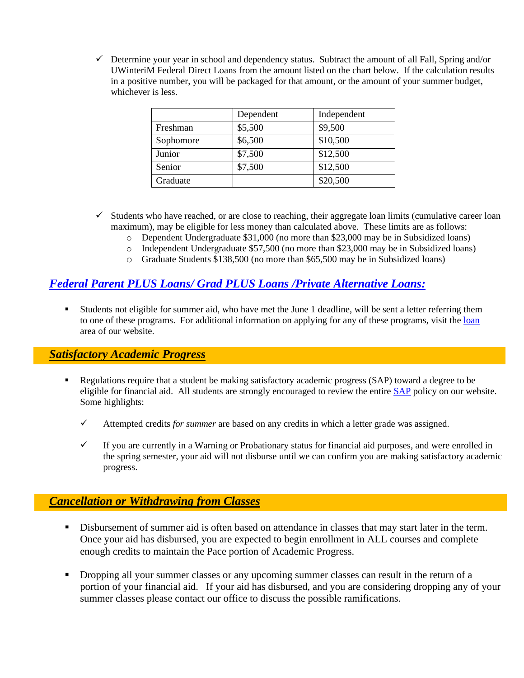$\checkmark$  Determine your year in school and dependency status. Subtract the amount of all Fall, Spring and/or UWinteriM Federal Direct Loans from the amount listed on the chart below. If the calculation results in a positive number, you will be packaged for that amount, or the amount of your summer budget, whichever is less.

|           | Dependent | Independent |
|-----------|-----------|-------------|
| Freshman  | \$5,500   | \$9,500     |
| Sophomore | \$6,500   | \$10,500    |
| Junior    | \$7,500   | \$12,500    |
| Senior    | \$7,500   | \$12,500    |
| Graduate  |           | \$20,500    |

- $\checkmark$  Students who have reached, or are close to reaching, their aggregate loan limits (cumulative career loan maximum), may be eligible for less money than calculated above. These limits are as follows:
	- o Dependent Undergraduate \$31,000 (no more than \$23,000 may be in Subsidized loans)
	- o Independent Undergraduate \$57,500 (no more than \$23,000 may be in Subsidized loans)
	- o Graduate Students \$138,500 (no more than \$65,500 may be in Subsidized loans)

## *[Federal Parent PLUS Loans/](http://www.uwm.edu/financialaid/types-of-aid/loans/) Grad PLUS Loans /Private Alternative Loans:*

▪ Students not eligible for summer aid, who have met the June 1 deadline, will be sent a letter referring them to one of these programs. For additional information on applying for any of these programs, visit the [loan](http://uwm.edu/onestop/finances/loans/) area of our website.

#### *Satisfactory Academic Progress*

- Regulations require that a student be making satisfactory academic progress (SAP) toward a degree to be eligible for financial aid. All students are strongly encouraged to review the entire **SAP** policy on our website. Some highlights:
	- ✓ Attempted credits *for summer* are based on any credits in which a letter grade was assigned.
	- $\checkmark$  If you are currently in a Warning or Probationary status for financial aid purposes, and were enrolled in the spring semester, your aid will not disburse until we can confirm you are making satisfactory academic progress.

## *Cancellation or Withdrawing from Classes*

- **EXECUTE:** Disbursement of summer aid is often based on attendance in classes that may start later in the term. Once your aid has disbursed, you are expected to begin enrollment in ALL courses and complete enough credits to maintain the Pace portion of Academic Progress.
- Dropping all your summer classes or any upcoming summer classes can result in the return of a portion of your financial aid. If your aid has disbursed, and you are considering dropping any of your summer classes please contact our office to discuss the possible ramifications.